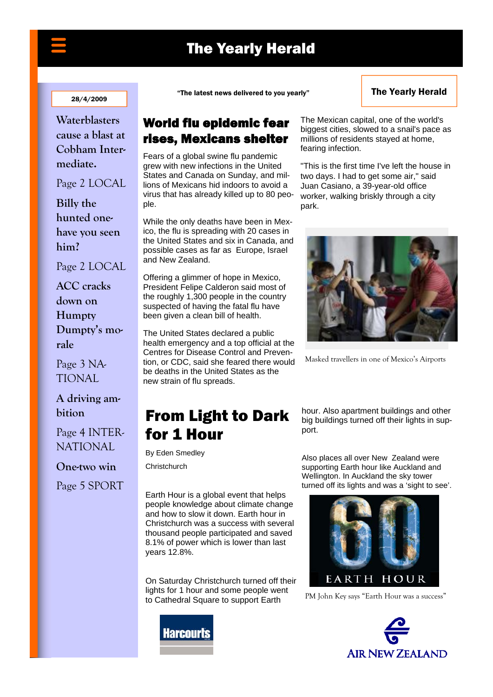## The Yearly Herald

#### 28/4/2009

**Waterblasters cause a blast at**  Cobham Intermediate. **Waterblasters** 

**Intermediate**  Page 2 LOCAL

 $P_{\rm 2D}^{\rm eff}$  and  $P_{\rm 2D}$ hunted one**cide West will have you seen be won. him? Billy the** 

Page 2 LOCAL tional.

ACC cracks<sup>1</sup> **Letter**<br>December **morale.**  Page 3 National **rale ACC cracks down on Humpty Dumpty's mo-**

Page 3 NA-TIONAL

### **A driving ambition**

Page 4 INTER-NATIONAL

**One-two win** 

Page 5 SPORT

"The latest news delivered to you yearly"

#### The Yearly Herald

### World flu epidemic fear rises, Mexicans shelter

Fears of a global swine flu pandemic grew with new infections in the United States and Canada on Sunday, and millions of Mexicans hid indoors to avoid a virus that has already killed up to 80 people.

While the only deaths have been in Mexico, the flu is spreading with 20 cases in the United States and six in Canada, and possible cases as far as Europe, Israel and New Zealand.

Offering a glimmer of hope in Mexico, President Felipe Calderon said most of the roughly 1,300 people in the country suspected of having the fatal flu have been given a clean bill of health.

The United States declared a public health emergency and a top official at the Centres for Disease Control and Prevention, or CDC, said she feared there would be deaths in the United States as the new strain of flu spreads.

## From Light to Dark for 1 Hour

By Eden Smedley

**Christchurch** 

Earth Hour is a global event that helps people knowledge about climate change and how to slow it down. Earth hour in Christchurch was a success with several thousand people participated and saved 8.1% of power which is lower than last years 12.8%.

On Saturday Christchurch turned off their lights for 1 hour and some people went to Cathedral Square to support Earth



The Mexican capital, one of the world's biggest cities, slowed to a snail's pace as millions of residents stayed at home, fearing infection.

"This is the first time I've left the house in two days. I had to get some air," said Juan Casiano, a 39-year-old office worker, walking briskly through a city park.



Masked travellers in one of Mexico's Airports

hour. Also apartment buildings and other big buildings turned off their lights in support.

Also places all over New Zealand were supporting Earth hour like Auckland and Wellington. In Auckland the sky tower turned off its lights and was a 'sight to see'.



PM John Key says "Earth Hour was a success"

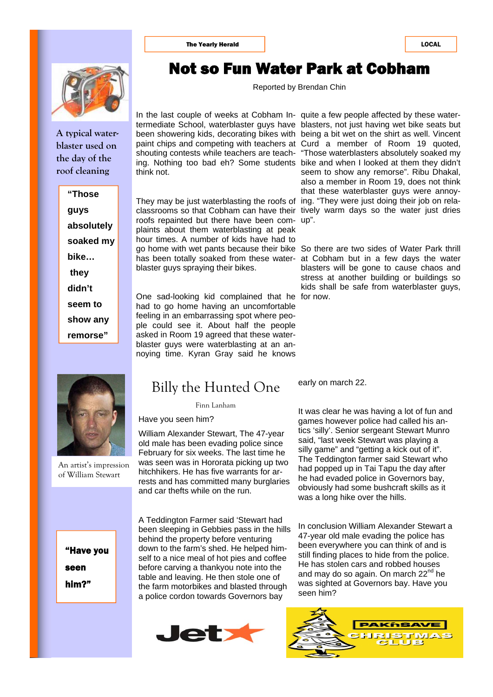

**A typical waterblaster used on the day of the roof cleaning** 

> **"Those guys absolutely soaked my bike… they didn't seem to show any remorse"**



An artist's impression of William Stewart

"Have you seen him?"

## Not so Fun Water Park at Cobham

Reported by Brendan Chin

In the last couple of weeks at Cobham In-quite a few people affected by these watertermediate School, waterblaster guys have blasters, not just having wet bike seats but been showering kids, decorating bikes with being a bit wet on the shirt as well. Vincent paint chips and competing with teachers at Curd a member of Room 19 quoted, shouting contests while teachers are teach-"Those waterblasters absolutely soaked my ing. Nothing too bad eh? Some students bike and when I looked at them they didn't think not.

They may be just waterblasting the roofs of ing. "They were just doing their job on relaclassrooms so that Cobham can have their tively warm days so the water just dries roofs repainted but there have been com-up". plaints about them waterblasting at peak hour times. A number of kids have had to go home with wet pants because their bike So there are two sides of Water Park thrill has been totally soaked from these water-at Cobham but in a few days the water blaster guys spraying their bikes.

One sad-looking kid complained that he for now. had to go home having an uncomfortable feeling in an embarrassing spot where people could see it. About half the people asked in Room 19 agreed that these waterblaster guys were waterblasting at an annoying time. Kyran Gray said he knows

## Billy the Hunted One

Finn Lanham

Have you seen him?

William Alexander Stewart, The 47-year old male has been evading police since February for six weeks. The last time he was seen was in Hororata picking up two hitchhikers. He has five warrants for arrests and has committed many burglaries and car thefts while on the run.

A Teddington Farmer said 'Stewart had been sleeping in Gebbies pass in the hills behind the property before venturing down to the farm's shed. He helped himself to a nice meal of hot pies and coffee before carving a thankyou note into the table and leaving. He then stole one of the farm motorbikes and blasted through a police cordon towards Governors bay



seem to show any remorse". Ribu Dhakal, also a member in Room 19, does not think that these waterblaster guys were annoy-

blasters will be gone to cause chaos and stress at another building or buildings so kids shall be safe from waterblaster guys,

early on march 22.

It was clear he was having a lot of fun and games however police had called his antics 'silly'. Senior sergeant Stewart Munro said, "last week Stewart was playing a silly game" and "getting a kick out of it". The Teddington farmer said Stewart who had popped up in Tai Tapu the day after he had evaded police in Governors bay, obviously had some bushcraft skills as it was a long hike over the hills.

In conclusion William Alexander Stewart a 47-year old male evading the police has been everywhere you can think of and is still finding places to hide from the police. He has stolen cars and robbed houses and may do so again. On march 22<sup>nd</sup> he was sighted at Governors bay. Have you seen him?

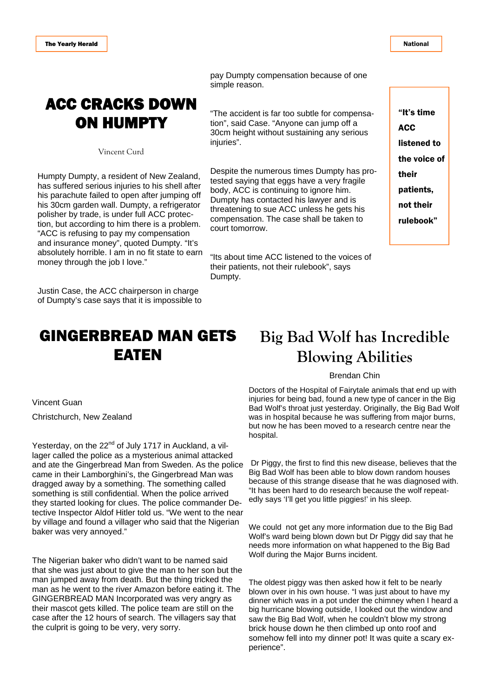National

## ACC CRACKS DOWN ON HUMPTY

Vincent Curd

Humpty Dumpty, a resident of New Zealand, has suffered serious injuries to his shell after his parachute failed to open after jumping off his 30cm garden wall. Dumpty, a refrigerator polisher by trade, is under full ACC protection, but according to him there is a problem. "ACC is refusing to pay my compensation and insurance money", quoted Dumpty. "It's absolutely horrible. I am in no fit state to earn money through the job I love."

Justin Case, the ACC chairperson in charge of Dumpty's case says that it is impossible to

## GINGERBREAD MAN GETS EATEN

pay Dumpty compensation because of one simple reason.

"The accident is far too subtle for compensation", said Case. "Anyone can jump off a 30cm height without sustaining any serious injuries".

Despite the numerous times Dumpty has protested saying that eggs have a very fragile body, ACC is continuing to ignore him. Dumpty has contacted his lawyer and is threatening to sue ACC unless he gets his compensation. The case shall be taken to court tomorrow.

"Its about time ACC listened to the voices of their patients, not their rulebook", says Dumpty.

"It's time **ACC** listened to the voice of their patients, not their rulebook"

## **Big Bad Wolf has Incredible Blowing Abilities**

#### Brendan Chin

Doctors of the Hospital of Fairytale animals that end up with injuries for being bad, found a new type of cancer in the Big Bad Wolf's throat just yesterday. Originally, the Big Bad Wolf was in hospital because he was suffering from major burns, but now he has been moved to a research centre near the hospital.

 Dr Piggy, the first to find this new disease, believes that the Big Bad Wolf has been able to blow down random houses because of this strange disease that he was diagnosed with. "It has been hard to do research because the wolf repeatedly says 'I'll get you little piggies!' in his sleep.

We could not get any more information due to the Big Bad Wolf's ward being blown down but Dr Piggy did say that he needs more information on what happened to the Big Bad Wolf during the Major Burns incident.

The oldest piggy was then asked how it felt to be nearly blown over in his own house. "I was just about to have my dinner which was in a pot under the chimney when I heard a big hurricane blowing outside, I looked out the window and saw the Big Bad Wolf, when he couldn't blow my strong brick house down he then climbed up onto roof and somehow fell into my dinner pot! It was quite a scary experience".

Vincent Guan

Christchurch, New Zealand

Yesterday, on the 22<sup>nd</sup> of July 1717 in Auckland, a villager called the police as a mysterious animal attacked and ate the Gingerbread Man from Sweden. As the police came in their Lamborghini's, the Gingerbread Man was dragged away by a something. The something called something is still confidential. When the police arrived they started looking for clues. The police commander Detective Inspector Aldof Hitler told us. "We went to the near by village and found a villager who said that the Nigerian baker was very annoyed."

The Nigerian baker who didn't want to be named said that she was just about to give the man to her son but the man jumped away from death. But the thing tricked the man as he went to the river Amazon before eating it. The GINGERBREAD MAN Incorporated was very angry as their mascot gets killed. The police team are still on the case after the 12 hours of search. The villagers say that the culprit is going to be very, very sorry.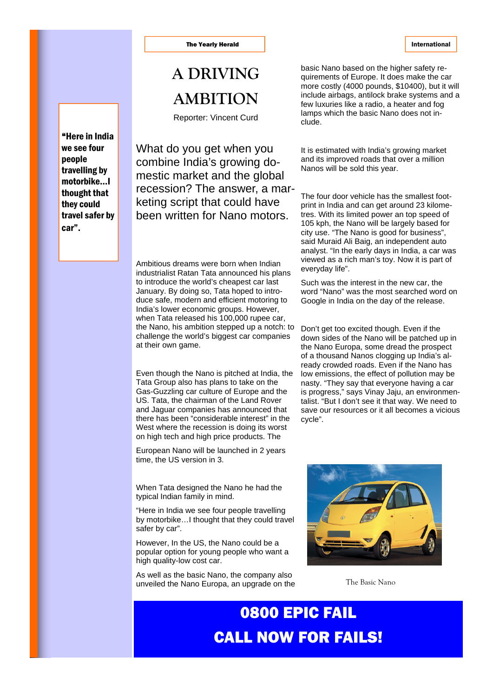#### The Yearly Herald **International**

## **A DRIVING AMBITION**

Reporter: Vincent Curd

What do you get when you combine India's growing domestic market and the global recession? The answer, a marketing script that could have been written for Nano motors.

Ambitious dreams were born when Indian industrialist Ratan Tata announced his plans to introduce the world's cheapest car last January. By doing so, Tata hoped to introduce safe, modern and efficient motoring to India's lower economic groups. However, when Tata released his 100,000 rupee car, the Nano, his ambition stepped up a notch: to challenge the world's biggest car companies at their own game.

Even though the Nano is pitched at India, the Tata Group also has plans to take on the Gas-Guzzling car culture of Europe and the US. Tata, the chairman of the Land Rover and Jaguar companies has announced that there has been "considerable interest" in the West where the recession is doing its worst on high tech and high price products. The

European Nano will be launched in 2 years time, the US version in 3.

When Tata designed the Nano he had the typical Indian family in mind.

"Here in India we see four people travelling by motorbike…I thought that they could travel safer by car".

However, In the US, the Nano could be a popular option for young people who want a high quality-low cost car.

As well as the basic Nano, the company also unveiled the Nano Europa, an upgrade on the basic Nano based on the higher safety requirements of Europe. It does make the car more costly (4000 pounds, \$10400), but it will include airbags, antilock brake systems and a few luxuries like a radio, a heater and fog lamps which the basic Nano does not include.

It is estimated with India's growing market and its improved roads that over a million Nanos will be sold this year.

The four door vehicle has the smallest footprint in India and can get around 23 kilometres. With its limited power an top speed of 105 kph, the Nano will be largely based for city use. "The Nano is good for business", said Muraid Ali Baig, an independent auto analyst. "In the early days in India, a car was viewed as a rich man's toy. Now it is part of everyday life".

Such was the interest in the new car, the word "Nano" was the most searched word on Google in India on the day of the release.

Don't get too excited though. Even if the down sides of the Nano will be patched up in the Nano Europa, some dread the prospect of a thousand Nanos clogging up India's already crowded roads. Even if the Nano has low emissions, the effect of pollution may be nasty. "They say that everyone having a car is progress," says Vinay Jaju, an environmentalist. "But I don't see it that way. We need to save our resources or it all becomes a vicious cycle".



The Basic Nano

## 0800 EPIC FAIL CALL NOW FOR FAILS!

"Here in India we see four people travelling by motorbike…I thought that they could travel safer by car".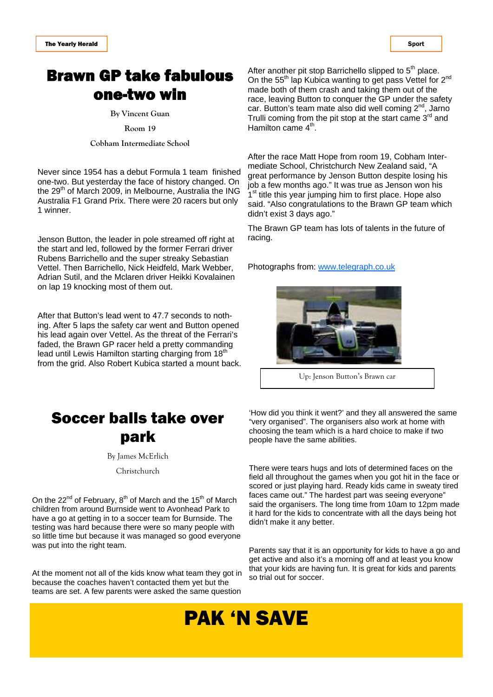## Brawn GP take fabulous one-two win

**By Vincent Guan** 

**Room 19** 

**Cobham Intermediate School** 

Never since 1954 has a debut Formula 1 team finished one-two. But yesterday the face of history changed. On the 29<sup>th</sup> of March 2009, in Melbourne, Australia the ING Australia F1 Grand Prix. There were 20 racers but only 1 winner.

Jenson Button, the leader in pole streamed off right at the start and led, followed by the former Ferrari driver Rubens Barrichello and the super streaky Sebastian Vettel. Then Barrichello, Nick Heidfeld, Mark Webber, Adrian Sutil, and the Mclaren driver Heikki Kovalainen on lap 19 knocking most of them out.

After that Button's lead went to 47.7 seconds to nothing. After 5 laps the safety car went and Button opened his lead again over Vettel. As the threat of the Ferrari's faded, the Brawn GP racer held a pretty commanding lead until Lewis Hamilton starting charging from  $18<sup>th</sup>$ from the grid. Also Robert Kubica started a mount back.



By James McErlich

Christchurch

On the 22<sup>nd</sup> of February,  $8<sup>th</sup>$  of March and the 15<sup>th</sup> of March children from around Burnside went to Avonhead Park to have a go at getting in to a soccer team for Burnside. The testing was hard because there were so many people with so little time but because it was managed so good everyone was put into the right team.

At the moment not all of the kids know what team they got in because the coaches haven't contacted them yet but the teams are set. A few parents were asked the same question

After another pit stop Barrichello slipped to  $5<sup>th</sup>$  place. On the 55<sup>th</sup> lap Kubica wanting to get pass Vettel for 2<sup>nd</sup> made both of them crash and taking them out of the race, leaving Button to conquer the GP under the safety car. Button's team mate also did well coming 2<sup>nd</sup>, Jarno Trulli coming from the pit stop at the start came  $3<sup>rd</sup>$  and Hamilton came  $4<sup>th</sup>$ .

After the race Matt Hope from room 19, Cobham Intermediate School, Christchurch New Zealand said, "A great performance by Jenson Button despite losing his job a few months ago." It was true as Jenson won his 1<sup>st</sup> title this year jumping him to first place. Hope also said. "Also congratulations to the Brawn GP team which didn't exist 3 days ago."

The Brawn GP team has lots of talents in the future of racing.

Photographs from: www.telegraph.co.uk



Up: Jenson Button's Brawn car

'How did you think it went?' and they all answered the same "very organised". The organisers also work at home with choosing the team which is a hard choice to make if two people have the same abilities.

There were tears hugs and lots of determined faces on the field all throughout the games when you got hit in the face or scored or just playing hard. Ready kids came in sweaty tired faces came out." The hardest part was seeing everyone" said the organisers. The long time from 10am to 12pm made it hard for the kids to concentrate with all the days being hot didn't make it any better.

Parents say that it is an opportunity for kids to have a go and get active and also it's a morning off and at least you know that your kids are having fun. It is great for kids and parents so trial out for soccer.

## PAK 'N SAVE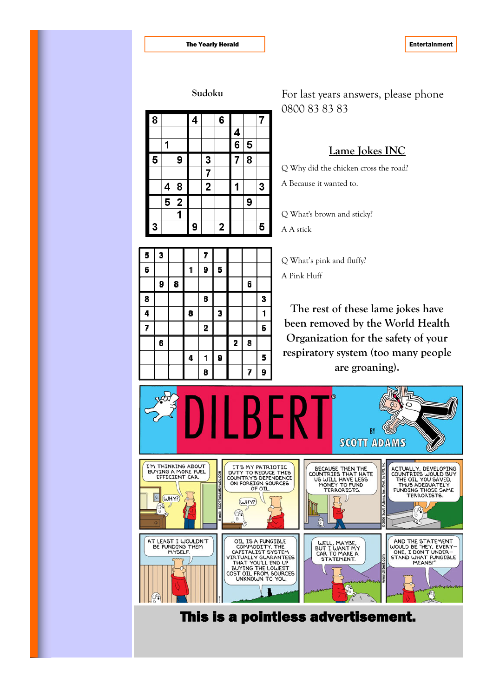| ouaoka                  |                         |                |   |                         |   |   |                |                |
|-------------------------|-------------------------|----------------|---|-------------------------|---|---|----------------|----------------|
| 8                       |                         |                | 4 |                         | 6 |   |                | $\overline{7}$ |
|                         |                         |                |   |                         |   | 4 |                |                |
|                         | 1                       |                |   |                         |   | 6 | 5              |                |
| $\overline{\mathbf{5}}$ |                         | 9              |   | 3                       |   | 7 | $\overline{8}$ |                |
|                         |                         |                |   | 7                       |   |   |                |                |
|                         | 4                       | 8              |   | $\overline{\mathbf{2}}$ |   | 1 |                | 3              |
|                         | $\overline{\mathbf{5}}$ | $\overline{2}$ |   |                         |   |   | 9              |                |
|                         |                         | 1              |   |                         |   |   |                |                |
| 3                       |                         |                | 9 |                         | 2 |   |                | 5              |

**Sudoku** For last years answers, please phone 0800 83 83 83

#### **Lame Jokes INC**

Q Why did the chicken cross the road? A Because it wanted to.

Q What's brown and sticky?

Q What's pink and fluffy?

A A stick

A Pink Fluff

3 5 7 1 5 6 9 9 8 6 6 3 8 8  $\overline{\mathbf{3}}$ 4 1 7 6  $\overline{\mathbf{2}}$  $\overline{\mathbf{2}}$ 6 8 9 5 4 1 9 8 7

**The rest of these lame jokes have been removed by the World Health Organization for the safety of your respiratory system (too many people are groaning).** 

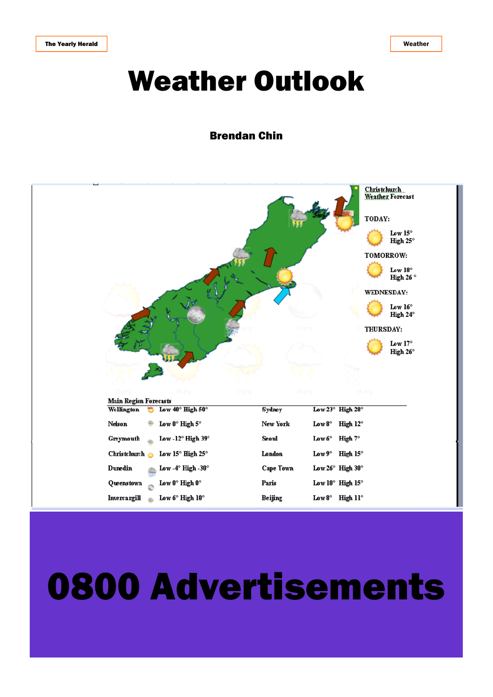# Weather Outlook

### Brendan Chin



# 0800 Advertisements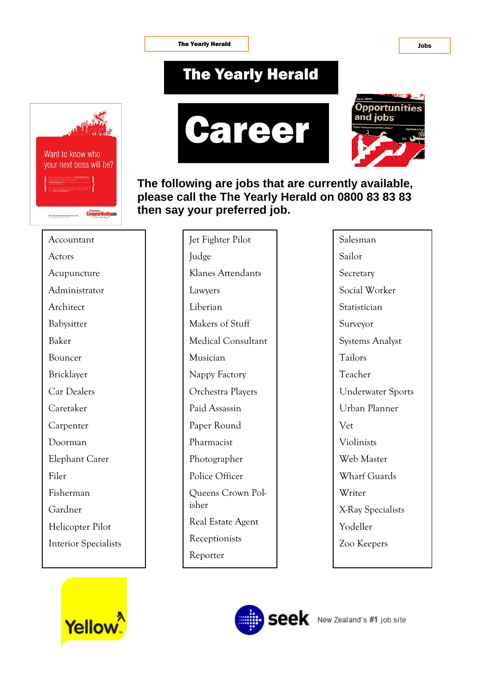The Yearly Herald **I** and the Vearly Herald **I** and the Vearly Herald **I** and the Vearly Herald **I** and the Vearly Herald **I** and the Vearly Herald **I** and the Vearly Herald **I** and the Vearly Herald **I** and the Vearly Her

## The Yearly Herald







**The following are jobs that are currently available, please call the The Yearly Herald on 0800 83 83 83 then say your preferred job.** 

Accountant Actors Acupuncture Administrator Architect Babysitter Baker Bouncer Bricklayer Car Dealers Caretaker **Carpenter** Doorman Elephant Carer Filer Fisherman Gardner Helicopter Pilot Interior Specialists



Jet Fighter Pilot Judge Klanes Attendants Lawyers Liberian Makers of Stuff Medical Consultant Musician Nappy Factory Orchestra Players Paid Assassin Paper Round Pharmacist Photographer Police Officer Queens Crown Polisher Real Estate Agent Receptionists Reporter

Salesman Sailor Secretary Social Worker **Statistician** Surveyor Systems Analyst Tailors Teacher Underwater Sports Urban Planner Vet Violinists Web Master Wharf Guards Writer X-Ray Specialists Yodeller Zoo Keepers

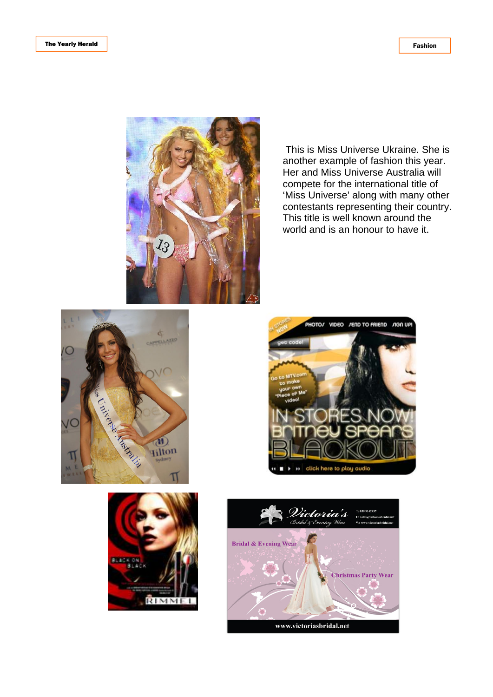

 This is Miss Universe Ukraine. She is another example of fashion this year. Her and Miss Universe Australia will compete for the international title of 'Miss Universe' along with many other contestants representing their country. This title is well known around the world and is an honour to have it.